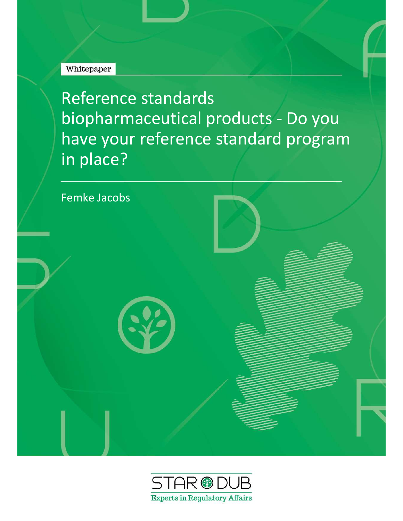### Whitepaper

Reference standards biopharmaceutical products - Do you have your reference standard program in place?



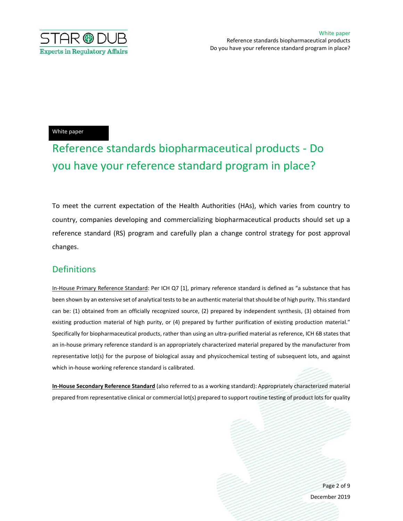

#### White paper

# Reference standards biopharmaceutical products - Do you have your reference standard program in place?

To meet the current expectation of the Health Authorities (HAs), which varies from country to country, companies developing and commercializing biopharmaceutical products should set up a reference standard (RS) program and carefully plan a change control strategy for post approval changes.

#### **Definitions**

In-House Primary Reference Standard: Per ICH Q7 [1], primary reference standard is defined as "a substance that has been shown by an extensive set of analytical tests to be an authentic material that should be of high purity. This standard can be: (1) obtained from an officially recognized source, (2) prepared by independent synthesis, (3) obtained from existing production material of high purity, or (4) prepared by further purification of existing production material." Specifically for biopharmaceutical products, rather than using an ultra-purified material as reference, ICH 6B states that an in-house primary reference standard is an appropriately characterized material prepared by the manufacturer from representative lot(s) for the purpose of biological assay and physicochemical testing of subsequent lots, and against which in-house working reference standard is calibrated.

In-House Secondary Reference Standard (also referred to as a working standard): Appropriately characterized material prepared from representative clinical or commercial lot(s) prepared to support routine testing of product lots for quality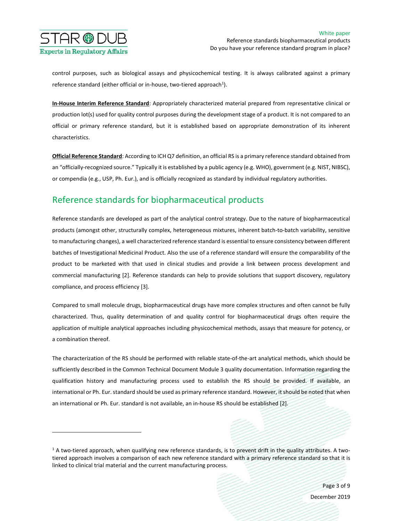

control purposes, such as biological assays and physicochemical testing. It is always calibrated against a primary reference standard (either official or in-house, two-tiered approach<sup>1</sup>).

In-House Interim Reference Standard: Appropriately characterized material prepared from representative clinical or production lot(s) used for quality control purposes during the development stage of a product. It is not compared to an official or primary reference standard, but it is established based on appropriate demonstration of its inherent characteristics.

Official Reference Standard: According to ICH Q7 definition, an official RS is a primary reference standard obtained from an "officially-recognized source." Typically it is established by a public agency (e.g. WHO), government (e.g. NIST, NIBSC), or compendia (e.g., USP, Ph. Eur.), and is officially recognized as standard by individual regulatory authorities.

## Reference standards for biopharmaceutical products

Reference standards are developed as part of the analytical control strategy. Due to the nature of biopharmaceutical products (amongst other, structurally complex, heterogeneous mixtures, inherent batch-to-batch variability, sensitive to manufacturing changes), a well characterized reference standard is essential to ensure consistency between different batches of Investigational Medicinal Product. Also the use of a reference standard will ensure the comparability of the product to be marketed with that used in clinical studies and provide a link between process development and commercial manufacturing [2]. Reference standards can help to provide solutions that support discovery, regulatory compliance, and process efficiency [3].

Compared to small molecule drugs, biopharmaceutical drugs have more complex structures and often cannot be fully characterized. Thus, quality determination of and quality control for biopharmaceutical drugs often require the application of multiple analytical approaches including physicochemical methods, assays that measure for potency, or a combination thereof.

The characterization of the RS should be performed with reliable state-of-the-art analytical methods, which should be sufficiently described in the Common Technical Document Module 3 quality documentation. Information regarding the qualification history and manufacturing process used to establish the RS should be provided. If available, an international or Ph. Eur. standard should be used as primary reference standard. However, it should be noted that when an international or Ph. Eur. standard is not available, an in-house RS should be established [2].

 $1$  A two-tiered approach, when qualifying new reference standards, is to prevent drift in the quality attributes. A twotiered approach involves a comparison of each new reference standard with a primary reference standard so that it is linked to clinical trial material and the current manufacturing process.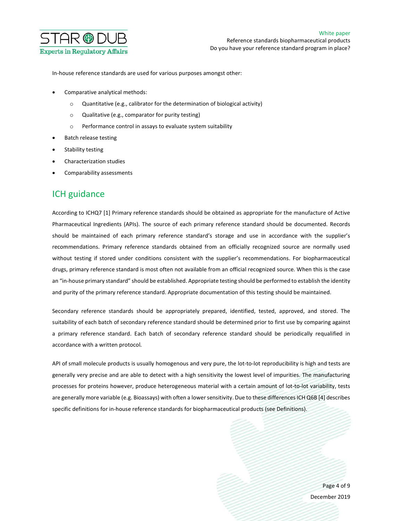

In-house reference standards are used for various purposes amongst other:

- Comparative analytical methods:
	- o Quantitative (e.g., calibrator for the determination of biological activity)
	- o Qualitative (e.g., comparator for purity testing)
	- o Performance control in assays to evaluate system suitability
- Batch release testing
- Stability testing
- Characterization studies
- Comparability assessments

#### ICH guidance

According to ICHQ7 [1] Primary reference standards should be obtained as appropriate for the manufacture of Active Pharmaceutical Ingredients (APIs). The source of each primary reference standard should be documented. Records should be maintained of each primary reference standard's storage and use in accordance with the supplier's recommendations. Primary reference standards obtained from an officially recognized source are normally used without testing if stored under conditions consistent with the supplier's recommendations. For biopharmaceutical drugs, primary reference standard is most often not available from an official recognized source. When this is the case an "in-house primary standard" should be established. Appropriate testing should be performed to establish the identity and purity of the primary reference standard. Appropriate documentation of this testing should be maintained.

Secondary reference standards should be appropriately prepared, identified, tested, approved, and stored. The suitability of each batch of secondary reference standard should be determined prior to first use by comparing against a primary reference standard. Each batch of secondary reference standard should be periodically requalified in accordance with a written protocol.

API of small molecule products is usually homogenous and very pure, the lot-to-lot reproducibility is high and tests are generally very precise and are able to detect with a high sensitivity the lowest level of impurities. The manufacturing processes for proteins however, produce heterogeneous material with a certain amount of lot-to-lot variability, tests are generally more variable (e.g. Bioassays) with often a lower sensitivity. Due to these differences ICH Q6B [4] describes specific definitions for in-house reference standards for biopharmaceutical products (see Definitions).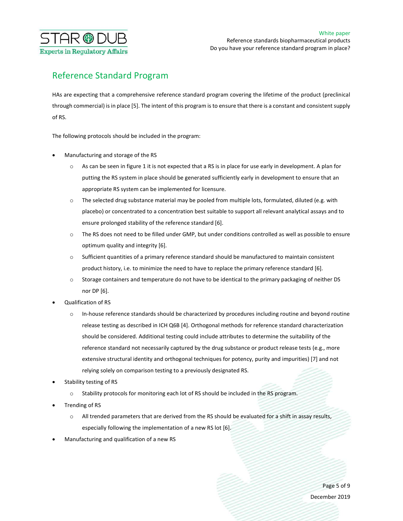

# Reference Standard Program

HAs are expecting that a comprehensive reference standard program covering the lifetime of the product (preclinical through commercial) is in place [5]. The intent of this program is to ensure that there is a constant and consistent supply of RS.

The following protocols should be included in the program:

- Manufacturing and storage of the RS
	- o As can be seen in figure 1 it is not expected that a RS is in place for use early in development. A plan for putting the RS system in place should be generated sufficiently early in development to ensure that an appropriate RS system can be implemented for licensure.
	- $\circ$  The selected drug substance material may be pooled from multiple lots, formulated, diluted (e.g. with placebo) or concentrated to a concentration best suitable to support all relevant analytical assays and to ensure prolonged stability of the reference standard [6].
	- o The RS does not need to be filled under GMP, but under conditions controlled as well as possible to ensure optimum quality and integrity [6].
	- o Sufficient quantities of a primary reference standard should be manufactured to maintain consistent product history, i.e. to minimize the need to have to replace the primary reference standard [6].
	- o Storage containers and temperature do not have to be identical to the primary packaging of neither DS nor DP [6].
- Qualification of RS
	- In-house reference standards should be characterized by procedures including routine and beyond routine release testing as described in ICH Q6B [4]. Orthogonal methods for reference standard characterization should be considered. Additional testing could include attributes to determine the suitability of the reference standard not necessarily captured by the drug substance or product release tests (e.g., more extensive structural identity and orthogonal techniques for potency, purity and impurities) [7] and not relying solely on comparison testing to a previously designated RS.
- Stability testing of RS
	- Stability protocols for monitoring each lot of RS should be included in the RS program.
- Trending of RS
	- o All trended parameters that are derived from the RS should be evaluated for a shift in assay results, especially following the implementation of a new RS lot [6].
- Manufacturing and qualification of a new RS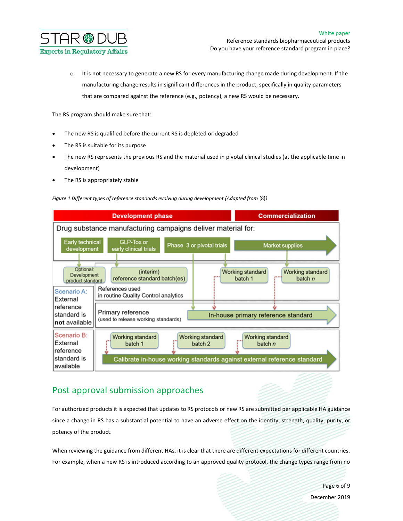

 $\circ$  It is not necessary to generate a new RS for every manufacturing change made during development. If the manufacturing change results in significant differences in the product, specifically in quality parameters that are compared against the reference (e.g., potency), a new RS would be necessary.

The RS program should make sure that:

- The new RS is qualified before the current RS is depleted or degraded
- The RS is suitable for its purpose
- The new RS represents the previous RS and the material used in pivotal clinical studies (at the applicable time in development)
- The RS is appropriately stable





### Post approval submission approaches

For authorized products it is expected that updates to RS protocols or new RS are submitted per applicable HA guidance since a change in RS has a substantial potential to have an adverse effect on the identity, strength, quality, purity, or potency of the product.

When reviewing the guidance from different HAs, it is clear that there are different expectations for different countries. For example, when a new RS is introduced according to an approved quality protocol, the change types range from no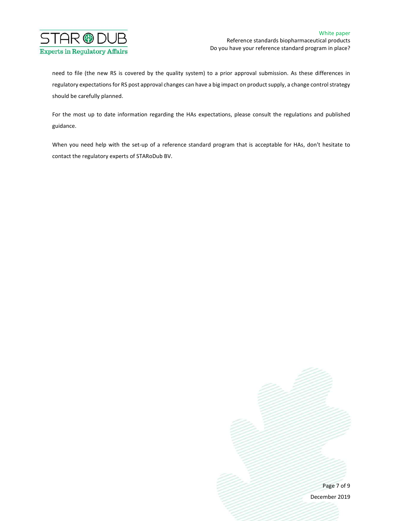

need to file (the new RS is covered by the quality system) to a prior approval submission. As these differences in regulatory expectations for RS post approval changes can have a big impact on product supply, a change control strategy should be carefully planned.

For the most up to date information regarding the HAs expectations, please consult the regulations and published guidance.

When you need help with the set-up of a reference standard program that is acceptable for HAs, don't hesitate to contact the regulatory experts of STARoDub BV.

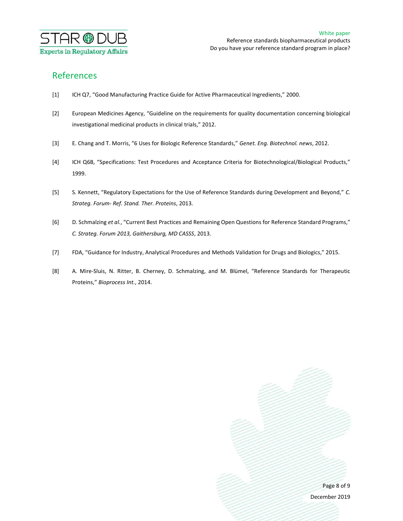

## References

- [1] ICH Q7, "Good Manufacturing Practice Guide for Active Pharmaceutical Ingredients," 2000.
- [2] European Medicines Agency, "Guideline on the requirements for quality documentation concerning biological investigational medicinal products in clinical trials," 2012.
- [3] E. Chang and T. Morris, "6 Uses for Biologic Reference Standards," Genet. Eng. Biotechnol. news, 2012.
- [4] ICH Q6B, "Specifications: Test Procedures and Acceptance Criteria for Biotechnological/Biological Products," 1999.
- [5] S. Kennett, "Regulatory Expectations for the Use of Reference Standards during Development and Beyond," C. Strateg. Forum- Ref. Stand. Ther. Proteins, 2013.
- [6] D. Schmalzing et al., "Current Best Practices and Remaining Open Questions for Reference Standard Programs," C. Strateg. Forum 2013, Gaithersburg, MD CASSS, 2013.
- [7] FDA, "Guidance for Industry, Analytical Procedures and Methods Validation for Drugs and Biologics," 2015.
- [8] A. Mire-Sluis, N. Ritter, B. Cherney, D. Schmalzing, and M. Blümel, "Reference Standards for Therapeutic Proteins," Bioprocess Int., 2014.